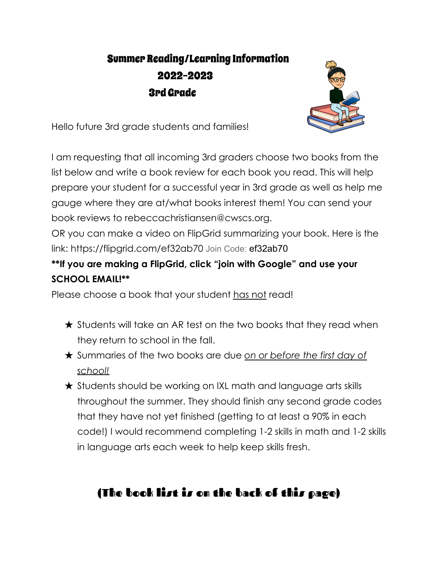## Summer Reading/Learning Information 2022-2023 3rd Grade



Hello future 3rd grade students and families!

I am requesting that all incoming 3rd graders choose two books from the list below and write a book review for each book you read. This will help prepare your student for a successful year in 3rd grade as well as help me gauge where they are at/what books interest them! You can send your book reviews to rebeccachristiansen@cwscs.org.

OR you can make a video on FlipGrid summarizing your book. Here is the link: https://flipgrid.com/ef32ab70 Join Code: ef32ab70

## **\*\*If you are making a FlipGrid, click "join with Google" and use your SCHOOL EMAIL!\*\***

Please choose a book that your student has not read!

- $\star$  Students will take an AR test on the two books that they read when they return to school in the fall.
- ★ Summaries of the two books are due *on or before the first day of school!*
- ★ Students should be working on IXL math and language arts skills throughout the summer. They should finish any second grade codes that they have not yet finished (getting to at least a 90% in each code!) I would recommend completing 1-2 skills in math and 1-2 skills in language arts each week to help keep skills fresh.

## (The book list is on the back of this page)